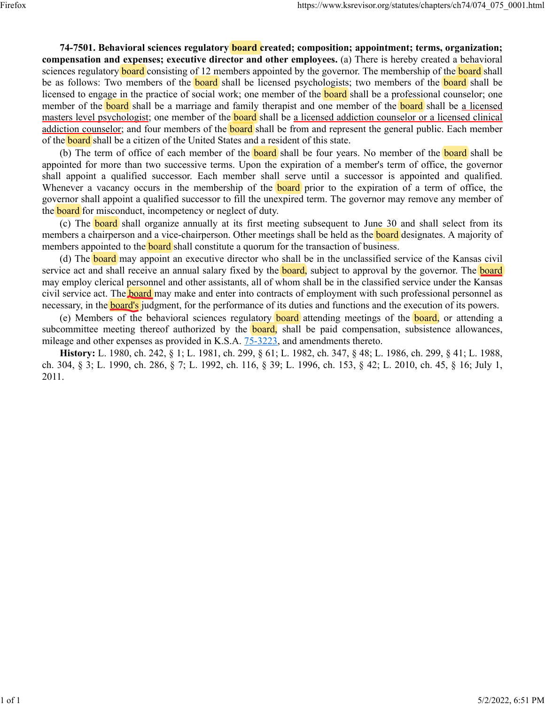**74-7501. Behavioral sciences regulatory board created; composition; appointment; terms, organization; compensation and expenses; executive director and other employees.** (a) There is hereby created a behavioral sciences regulatory **board** consisting of 12 members appointed by the governor. The membership of the **board** shall be as follows: Two members of the **board** shall be licensed psychologists; two members of the **board** shall be licensed to engage in the practice of social work; one member of the **board** shall be a professional counselor; one member of the **board** shall be a marriage and family therapist and one member of the **board** shall be a licensed masters level psychologist; one member of the **board** shall be a licensed addiction counselor or a licensed clinical addiction counselor; and four members of the **board** shall be from and represent the general public. Each member of the **board** shall be a citizen of the United States and a resident of this state.

(b) The term of office of each member of the **board** shall be four years. No member of the **board** shall be appointed for more than two successive terms. Upon the expiration of a member's term of office, the governor shall appoint a qualified successor. Each member shall serve until a successor is appointed and qualified. Whenever a vacancy occurs in the membership of the **board** prior to the expiration of a term of office, the governor shall appoint a qualified successor to fill the unexpired term. The governor may remove any member of the **board** for misconduct, incompetency or neglect of duty.

(c) The board shall organize annually at its first meeting subsequent to June 30 and shall select from its members a chairperson and a vice-chairperson. Other meetings shall be held as the **board** designates. A majority of members appointed to the **board** shall constitute a quorum for the transaction of business.

(d) The **board** may appoint an executive director who shall be in the unclassified service of the Kansas civil service act and shall receive an annual salary fixed by the **board**, subject to approval by the governor. The **board** may employ clerical personnel and other assistants, all of whom shall be in the classified service under the Kansas civil service act. The **board** may make and enter into contracts of employment with such professional personnel as necessary, in the **board's** judgment, for the performance of its duties and functions and the execution of its powers.

(e) Members of the behavioral sciences regulatory **board** attending meetings of the **board**, or attending a subcommittee meeting thereof authorized by the **board**, shall be paid compensation, subsistence allowances, mileage and other expenses as provided in K.S.A. [75-3223,](https://www.ksrevisor.org/statutes/chapters/ch75/075_032_0023.html) and amendments thereto.

**History:** L. 1980, ch. 242, § 1; L. 1981, ch. 299, § 61; L. 1982, ch. 347, § 48; L. 1986, ch. 299, § 41; L. 1988, ch. 304, § 3; L. 1990, ch. 286, § 7; L. 1992, ch. 116, § 39; L. 1996, ch. 153, § 42; L. 2010, ch. 45, § 16; July 1, 2011.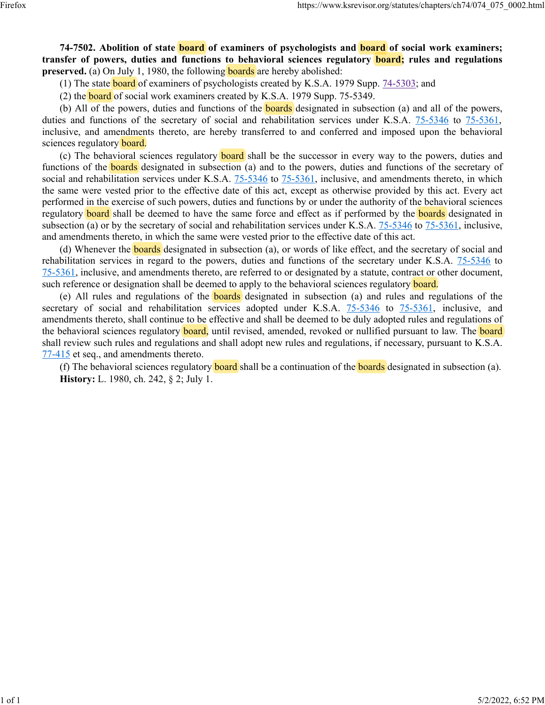**74-7502. Abolition of state board of examiners of psychologists and board of social work examiners; transfer of powers, duties and functions to behavioral sciences regulatory board; rules and regulations preserved.** (a) On July 1, 1980, the following **boards** are hereby abolished:

(1) The state **board** of examiners of psychologists created by K.S.A. 1979 Supp. [74-5303;](https://www.ksrevisor.org/statutes/chapters/ch74/074_053_0003.html) and

(2) the **board** of social work examiners created by K.S.A. 1979 Supp. 75-5349.

(b) All of the powers, duties and functions of the **boards** designated in subsection (a) and all of the powers, duties and functions of the secretary of social and rehabilitation services under K.S.A. [75-5346](https://www.ksrevisor.org/statutes/chapters/ch75/075_053_0046.html) to [75-5361,](https://www.ksrevisor.org/statutes/chapters/ch75/075_053_0046.html) inclusive, and amendments thereto, are hereby transferred to and conferred and imposed upon the behavioral sciences regulatory board.

(c) The behavioral sciences regulatory **board** shall be the successor in every way to the powers, duties and functions of the boards designated in subsection (a) and to the powers, duties and functions of the secretary of social and rehabilitation services under K.S.A.  $75-5346$  to  $75-5361$ , inclusive, and amendments thereto, in which the same were vested prior to the effective date of this act, except as otherwise provided by this act. Every act performed in the exercise of such powers, duties and functions by or under the authority of the behavioral sciences regulatory **board** shall be deemed to have the same force and effect as if performed by the **boards** designated in subsection (a) or by the secretary of social and rehabilitation services under K.S.A.  $75-5346$  to  $75-5361$ , inclusive, and amendments thereto, in which the same were vested prior to the effective date of this act.

(d) Whenever the **boards** designated in subsection (a), or words of like effect, and the secretary of social and rehabilitation services in regard to the powers, duties and functions of the secretary under K.S.A. [75-5346](https://www.ksrevisor.org/statutes/chapters/ch75/075_053_0046.html) to [75-5361,](https://www.ksrevisor.org/statutes/chapters/ch75/075_053_0046.html) inclusive, and amendments thereto, are referred to or designated by a statute, contract or other document, such reference or designation shall be deemed to apply to the behavioral sciences regulatory board.

(e) All rules and regulations of the **boards** designated in subsection (a) and rules and regulations of the secretary of social and rehabilitation services adopted under K.S.A. [75-5346](https://www.ksrevisor.org/statutes/chapters/ch75/075_053_0046.html) to [75-5361,](https://www.ksrevisor.org/statutes/chapters/ch75/075_053_0046.html) inclusive, and amendments thereto, shall continue to be effective and shall be deemed to be duly adopted rules and regulations of the behavioral sciences regulatory **board**, until revised, amended, revoked or nullified pursuant to law. The **board** shall review such rules and regulations and shall adopt new rules and regulations, if necessary, pursuant to K.S.A. [77-415](https://www.ksrevisor.org/statutes/chapters/ch77/077_004_0015.html) et seq., and amendments thereto.

(f) The behavioral sciences regulatory **board** shall be a continuation of the **boards** designated in subsection (a). **History:** L. 1980, ch. 242, § 2; July 1.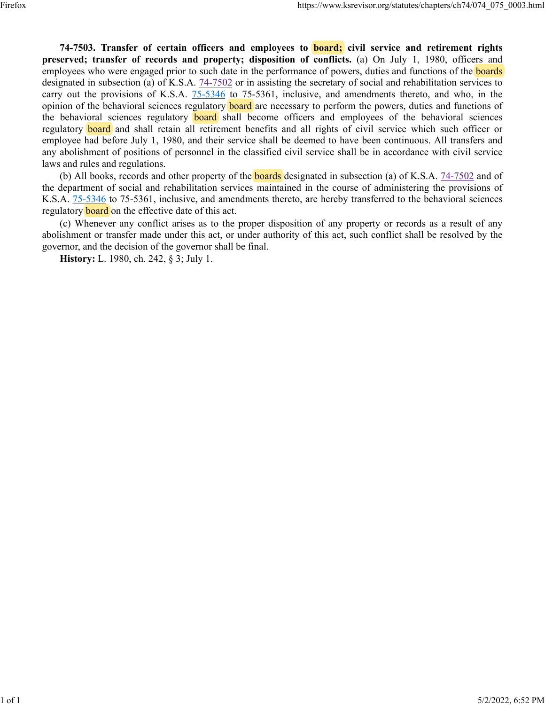**74-7503. Transfer of certain officers and employees to board; civil service and retirement rights preserved; transfer of records and property; disposition of conflicts.** (a) On July 1, 1980, officers and employees who were engaged prior to such date in the performance of powers, duties and functions of the **boards** designated in subsection (a) of K.S.A.  $74-7502$  or in assisting the secretary of social and rehabilitation services to carry out the provisions of K.S.A. [75-5346](https://www.ksrevisor.org/statutes/chapters/ch75/075_053_0046.html) to 75-5361, inclusive, and amendments thereto, and who, in the opinion of the behavioral sciences regulatory **board** are necessary to perform the powers, duties and functions of the behavioral sciences regulatory **board** shall become officers and employees of the behavioral sciences regulatory board and shall retain all retirement benefits and all rights of civil service which such officer or employee had before July 1, 1980, and their service shall be deemed to have been continuous. All transfers and any abolishment of positions of personnel in the classified civil service shall be in accordance with civil service laws and rules and regulations.

(b) All books, records and other property of the **boards** designated in subsection (a) of K.S.A. [74-7502](https://www.ksrevisor.org/statutes/chapters/ch74/074_075_0002.html) and of the department of social and rehabilitation services maintained in the course of administering the provisions of K.S.A. [75-5346](https://www.ksrevisor.org/statutes/chapters/ch75/075_053_0046.html) to 75-5361, inclusive, and amendments thereto, are hereby transferred to the behavioral sciences regulatory **board** on the effective date of this act.

(c) Whenever any conflict arises as to the proper disposition of any property or records as a result of any abolishment or transfer made under this act, or under authority of this act, such conflict shall be resolved by the governor, and the decision of the governor shall be final.

**History:** L. 1980, ch. 242, § 3; July 1.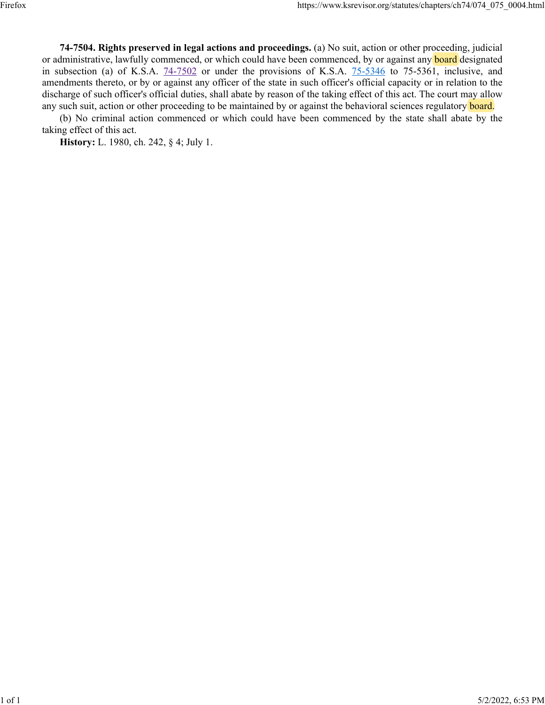**74-7504. Rights preserved in legal actions and proceedings.** (a) No suit, action or other proceeding, judicial or administrative, lawfully commenced, or which could have been commenced, by or against any **board** designated in subsection (a) of K.S.A. [74-7502](https://www.ksrevisor.org/statutes/chapters/ch74/074_075_0002.html) or under the provisions of K.S.A. [75-5346](https://www.ksrevisor.org/statutes/chapters/ch75/075_053_0046.html) to 75-5361, inclusive, and amendments thereto, or by or against any officer of the state in such officer's official capacity or in relation to the discharge of such officer's official duties, shall abate by reason of the taking effect of this act. The court may allow any such suit, action or other proceeding to be maintained by or against the behavioral sciences regulatory board.

(b) No criminal action commenced or which could have been commenced by the state shall abate by the taking effect of this act.

**History:** L. 1980, ch. 242, § 4; July 1.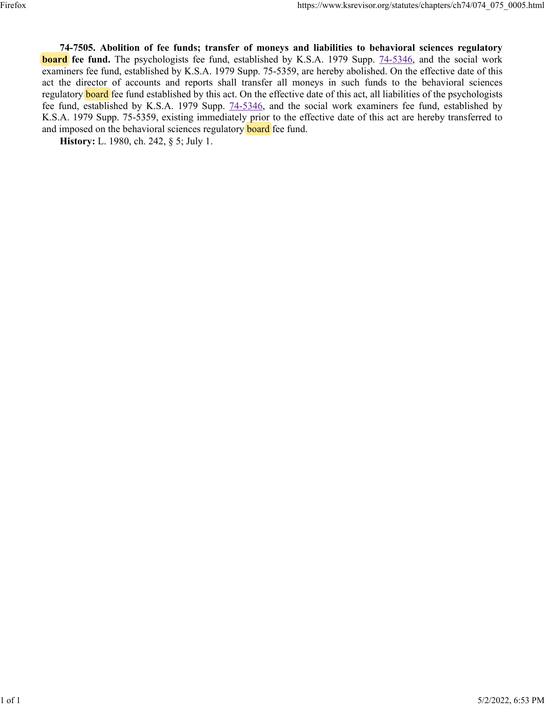**74-7505. Abolition of fee funds; transfer of moneys and liabilities to behavioral sciences regulatory board** fee fund. The psychologists fee fund, established by K.S.A. 1979 Supp. [74-5346,](https://www.ksrevisor.org/statutes/chapters/ch74/074_053_0046.html) and the social work examiners fee fund, established by K.S.A. 1979 Supp. 75-5359, are hereby abolished. On the effective date of this act the director of accounts and reports shall transfer all moneys in such funds to the behavioral sciences regulatory board fee fund established by this act. On the effective date of this act, all liabilities of the psychologists fee fund, established by K.S.A. 1979 Supp. [74-5346,](https://www.ksrevisor.org/statutes/chapters/ch74/074_053_0046.html) and the social work examiners fee fund, established by K.S.A. 1979 Supp. 75-5359, existing immediately prior to the effective date of this act are hereby transferred to and imposed on the behavioral sciences regulatory **board** fee fund.

**History:** L. 1980, ch. 242, § 5; July 1.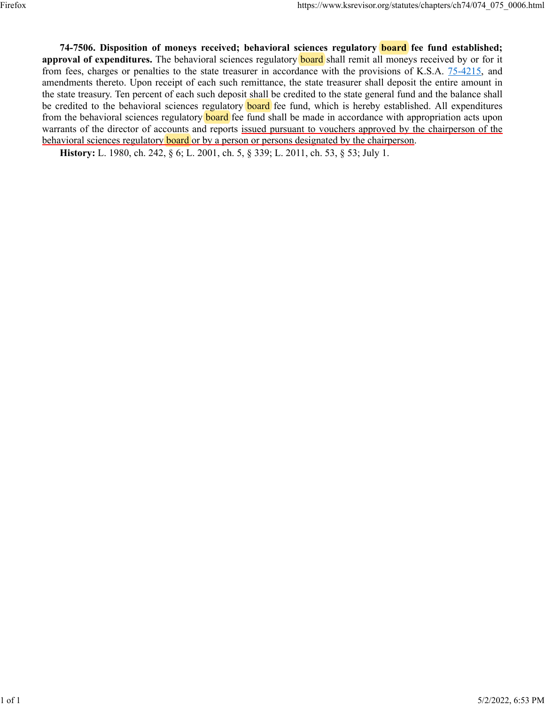**74-7506. Disposition of moneys received; behavioral sciences regulatory board fee fund established; approval of expenditures.** The behavioral sciences regulatory **board** shall remit all moneys received by or for it from fees, charges or penalties to the state treasurer in accordance with the provisions of K.S.A. [75-4215,](https://www.ksrevisor.org/statutes/chapters/ch75/075_042_0015.html) and amendments thereto. Upon receipt of each such remittance, the state treasurer shall deposit the entire amount in the state treasury. Ten percent of each such deposit shall be credited to the state general fund and the balance shall be credited to the behavioral sciences regulatory **board** fee fund, which is hereby established. All expenditures from the behavioral sciences regulatory **board** fee fund shall be made in accordance with appropriation acts upon warrants of the director of accounts and reports issued pursuant to vouchers approved by the chairperson of the behavioral sciences regulatory **board** or by a person or persons designated by the chairperson.

**History:** L. 1980, ch. 242, § 6; L. 2001, ch. 5, § 339; L. 2011, ch. 53, § 53; July 1.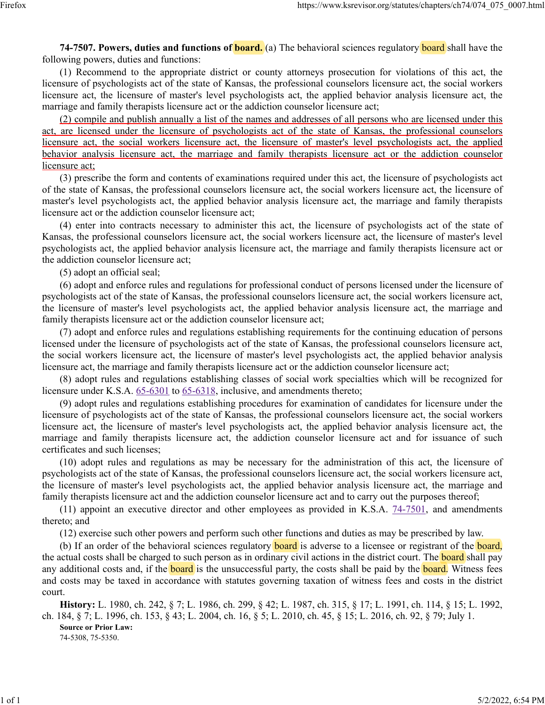**74-7507. Powers, duties and functions of board.** (a) The behavioral sciences regulatory board shall have the following powers, duties and functions:

(1) Recommend to the appropriate district or county attorneys prosecution for violations of this act, the licensure of psychologists act of the state of Kansas, the professional counselors licensure act, the social workers licensure act, the licensure of master's level psychologists act, the applied behavior analysis licensure act, the marriage and family therapists licensure act or the addiction counselor licensure act;

(2) compile and publish annually a list of the names and addresses of all persons who are licensed under this act, are licensed under the licensure of psychologists act of the state of Kansas, the professional counselors licensure act, the social workers licensure act, the licensure of master's level psychologists act, the applied behavior analysis licensure act, the marriage and family therapists licensure act or the addiction counselor licensure act;

(3) prescribe the form and contents of examinations required under this act, the licensure of psychologists act of the state of Kansas, the professional counselors licensure act, the social workers licensure act, the licensure of master's level psychologists act, the applied behavior analysis licensure act, the marriage and family therapists licensure act or the addiction counselor licensure act;

(4) enter into contracts necessary to administer this act, the licensure of psychologists act of the state of Kansas, the professional counselors licensure act, the social workers licensure act, the licensure of master's level psychologists act, the applied behavior analysis licensure act, the marriage and family therapists licensure act or the addiction counselor licensure act;

(5) adopt an official seal;

(6) adopt and enforce rules and regulations for professional conduct of persons licensed under the licensure of psychologists act of the state of Kansas, the professional counselors licensure act, the social workers licensure act, the licensure of master's level psychologists act, the applied behavior analysis licensure act, the marriage and family therapists licensure act or the addiction counselor licensure act;

(7) adopt and enforce rules and regulations establishing requirements for the continuing education of persons licensed under the licensure of psychologists act of the state of Kansas, the professional counselors licensure act, the social workers licensure act, the licensure of master's level psychologists act, the applied behavior analysis licensure act, the marriage and family therapists licensure act or the addiction counselor licensure act;

(8) adopt rules and regulations establishing classes of social work specialties which will be recognized for licensure under K.S.A. [65-6301](https://www.ksrevisor.org/statutes/chapters/ch65/065_063_0001.html) to [65-6318,](https://www.ksrevisor.org/statutes/chapters/ch65/065_063_0018.html) inclusive, and amendments thereto;

(9) adopt rules and regulations establishing procedures for examination of candidates for licensure under the licensure of psychologists act of the state of Kansas, the professional counselors licensure act, the social workers licensure act, the licensure of master's level psychologists act, the applied behavior analysis licensure act, the marriage and family therapists licensure act, the addiction counselor licensure act and for issuance of such certificates and such licenses;

(10) adopt rules and regulations as may be necessary for the administration of this act, the licensure of psychologists act of the state of Kansas, the professional counselors licensure act, the social workers licensure act, the licensure of master's level psychologists act, the applied behavior analysis licensure act, the marriage and family therapists licensure act and the addiction counselor licensure act and to carry out the purposes thereof;

(11) appoint an executive director and other employees as provided in K.S.A. [74-7501,](https://www.ksrevisor.org/statutes/chapters/ch74/074_075_0001.html) and amendments thereto; and

(12) exercise such other powers and perform such other functions and duties as may be prescribed by law.

(b) If an order of the behavioral sciences regulatory **board** is adverse to a licensee or registrant of the **board**, the actual costs shall be charged to such person as in ordinary civil actions in the district court. The **board** shall pay any additional costs and, if the **board** is the unsuccessful party, the costs shall be paid by the **board**. Witness fees and costs may be taxed in accordance with statutes governing taxation of witness fees and costs in the district court.

**History:** L. 1980, ch. 242, § 7; L. 1986, ch. 299, § 42; L. 1987, ch. 315, § 17; L. 1991, ch. 114, § 15; L. 1992, ch. 184, § 7; L. 1996, ch. 153, § 43; L. 2004, ch. 16, § 5; L. 2010, ch. 45, § 15; L. 2016, ch. 92, § 79; July 1. **Source or Prior Law:**

74-5308, 75-5350.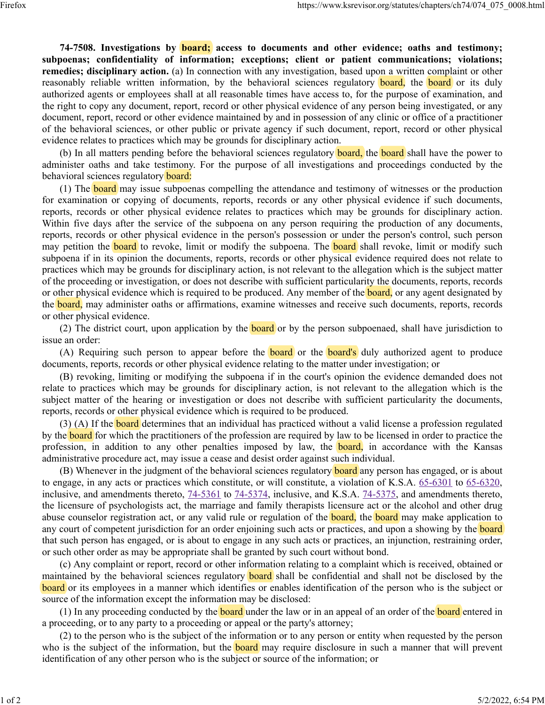**74-7508. Investigations by board; access to documents and other evidence; oaths and testimony; subpoenas; confidentiality of information; exceptions; client or patient communications; violations; remedies; disciplinary action.** (a) In connection with any investigation, based upon a written complaint or other reasonably reliable written information, by the behavioral sciences regulatory **board**, the **board** or its duly authorized agents or employees shall at all reasonable times have access to, for the purpose of examination, and the right to copy any document, report, record or other physical evidence of any person being investigated, or any document, report, record or other evidence maintained by and in possession of any clinic or office of a practitioner of the behavioral sciences, or other public or private agency if such document, report, record or other physical evidence relates to practices which may be grounds for disciplinary action.

(b) In all matters pending before the behavioral sciences regulatory **board**, the **board** shall have the power to administer oaths and take testimony. For the purpose of all investigations and proceedings conducted by the behavioral sciences regulatory board:

(1) The **board** may issue subpoenas compelling the attendance and testimony of witnesses or the production for examination or copying of documents, reports, records or any other physical evidence if such documents, reports, records or other physical evidence relates to practices which may be grounds for disciplinary action. Within five days after the service of the subpoena on any person requiring the production of any documents, reports, records or other physical evidence in the person's possession or under the person's control, such person may petition the **board** to revoke, limit or modify the subpoena. The **board** shall revoke, limit or modify such subpoena if in its opinion the documents, reports, records or other physical evidence required does not relate to practices which may be grounds for disciplinary action, is not relevant to the allegation which is the subject matter of the proceeding or investigation, or does not describe with sufficient particularity the documents, reports, records or other physical evidence which is required to be produced. Any member of the **board**, or any agent designated by the **board**, may administer oaths or affirmations, examine witnesses and receive such documents, reports, records or other physical evidence.

(2) The district court, upon application by the **board** or by the person subpoenaed, shall have jurisdiction to issue an order:

(A) Requiring such person to appear before the **board** or the **board's** duly authorized agent to produce documents, reports, records or other physical evidence relating to the matter under investigation; or

(B) revoking, limiting or modifying the subpoena if in the court's opinion the evidence demanded does not relate to practices which may be grounds for disciplinary action, is not relevant to the allegation which is the subject matter of the hearing or investigation or does not describe with sufficient particularity the documents, reports, records or other physical evidence which is required to be produced.

(3) (A) If the **board** determines that an individual has practiced without a valid license a profession regulated by the **board** for which the practitioners of the profession are required by law to be licensed in order to practice the profession, in addition to any other penalties imposed by law, the **board**, in accordance with the Kansas administrative procedure act, may issue a cease and desist order against such individual.

(B) Whenever in the judgment of the behavioral sciences regulatory **board** any person has engaged, or is about to engage, in any acts or practices which constitute, or will constitute, a violation of K.S.A. [65-6301](https://www.ksrevisor.org/statutes/chapters/ch65/065_063_0001.html) to [65-6320,](https://www.ksrevisor.org/statutes/chapters/ch65/065_063_0020.html) inclusive, and amendments thereto, [74-5361](https://www.ksrevisor.org/statutes/chapters/ch74/074_053_0061.html) to [74-5374,](https://www.ksrevisor.org/statutes/chapters/ch74/074_053_0074.html) inclusive, and K.S.A. [74-5375,](https://www.ksrevisor.org/statutes/chapters/ch74/074_053_0075.html) and amendments thereto, the licensure of psychologists act, the marriage and family therapists licensure act or the alcohol and other drug abuse counselor registration act, or any valid rule or regulation of the **board**, the **board** may make application to any court of competent jurisdiction for an order enjoining such acts or practices, and upon a showing by the **board** that such person has engaged, or is about to engage in any such acts or practices, an injunction, restraining order, or such other order as may be appropriate shall be granted by such court without bond.

(c) Any complaint or report, record or other information relating to a complaint which is received, obtained or maintained by the behavioral sciences regulatory **board** shall be confidential and shall not be disclosed by the board or its employees in a manner which identifies or enables identification of the person who is the subject or source of the information except the information may be disclosed:

(1) In any proceeding conducted by the **board** under the law or in an appeal of an order of the **board** entered in a proceeding, or to any party to a proceeding or appeal or the party's attorney;

(2) to the person who is the subject of the information or to any person or entity when requested by the person who is the subject of the information, but the **board** may require disclosure in such a manner that will prevent identification of any other person who is the subject or source of the information; or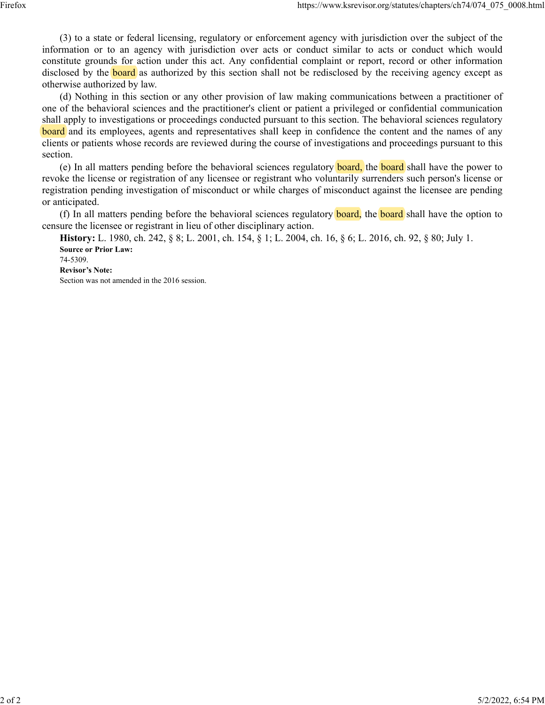(3) to a state or federal licensing, regulatory or enforcement agency with jurisdiction over the subject of the information or to an agency with jurisdiction over acts or conduct similar to acts or conduct which would constitute grounds for action under this act. Any confidential complaint or report, record or other information disclosed by the **board** as authorized by this section shall not be redisclosed by the receiving agency except as otherwise authorized by law.

(d) Nothing in this section or any other provision of law making communications between a practitioner of one of the behavioral sciences and the practitioner's client or patient a privileged or confidential communication shall apply to investigations or proceedings conducted pursuant to this section. The behavioral sciences regulatory board and its employees, agents and representatives shall keep in confidence the content and the names of any clients or patients whose records are reviewed during the course of investigations and proceedings pursuant to this section.

(e) In all matters pending before the behavioral sciences regulatory **board**, the **board** shall have the power to revoke the license or registration of any licensee or registrant who voluntarily surrenders such person's license or registration pending investigation of misconduct or while charges of misconduct against the licensee are pending or anticipated.

(f) In all matters pending before the behavioral sciences regulatory **board**, the **board** shall have the option to censure the licensee or registrant in lieu of other disciplinary action.

**History:** L. 1980, ch. 242, § 8; L. 2001, ch. 154, § 1; L. 2004, ch. 16, § 6; L. 2016, ch. 92, § 80; July 1. **Source or Prior Law:** 74-5309.

**Revisor's Note:**

Section was not amended in the 2016 session.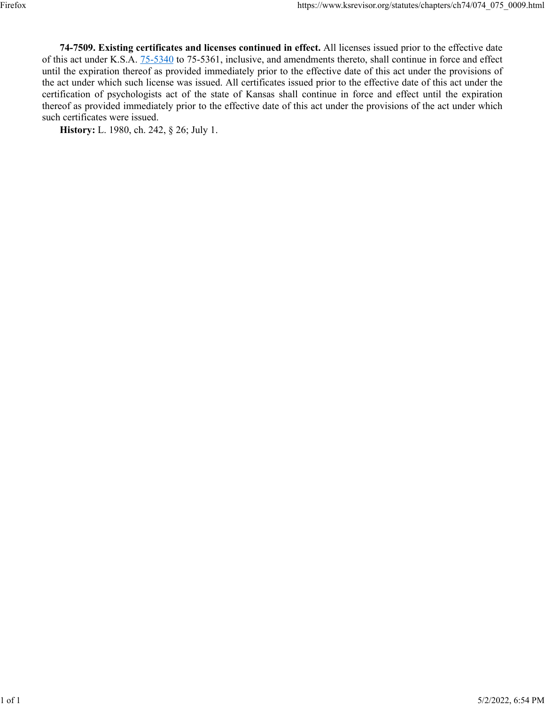**74-7509. Existing certificates and licenses continued in effect.** All licenses issued prior to the effective date of this act under K.S.A. [75-5340](https://www.ksrevisor.org/statutes/chapters/ch75/075_053_0040.html) to 75-5361, inclusive, and amendments thereto, shall continue in force and effect until the expiration thereof as provided immediately prior to the effective date of this act under the provisions of the act under which such license was issued. All certificates issued prior to the effective date of this act under the certification of psychologists act of the state of Kansas shall continue in force and effect until the expiration thereof as provided immediately prior to the effective date of this act under the provisions of the act under which such certificates were issued.

**History:** L. 1980, ch. 242, § 26; July 1.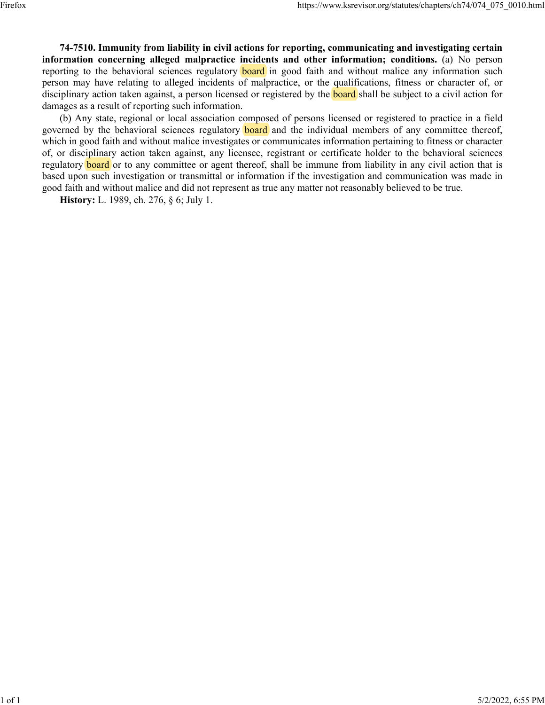**74-7510. Immunity from liability in civil actions for reporting, communicating and investigating certain information concerning alleged malpractice incidents and other information; conditions.** (a) No person reporting to the behavioral sciences regulatory **board** in good faith and without malice any information such person may have relating to alleged incidents of malpractice, or the qualifications, fitness or character of, or disciplinary action taken against, a person licensed or registered by the **board** shall be subject to a civil action for damages as a result of reporting such information.

(b) Any state, regional or local association composed of persons licensed or registered to practice in a field governed by the behavioral sciences regulatory **board** and the individual members of any committee thereof, which in good faith and without malice investigates or communicates information pertaining to fitness or character of, or disciplinary action taken against, any licensee, registrant or certificate holder to the behavioral sciences regulatory **board** or to any committee or agent thereof, shall be immune from liability in any civil action that is based upon such investigation or transmittal or information if the investigation and communication was made in good faith and without malice and did not represent as true any matter not reasonably believed to be true.

**History:** L. 1989, ch. 276, § 6; July 1.